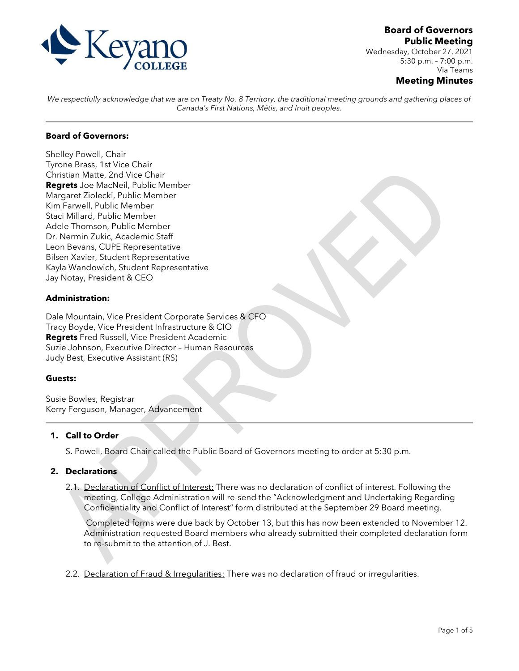

**Board of Governors Public Meeting**

Wednesday, October 27, 2021 5:30 p.m. – 7:00 p.m. Via Teams

## **Meeting Minutes**

We respectfully acknowledge that we are on Treaty No. 8 Territory, the traditional meeting grounds and gathering places of *Canada's First Nations, Métis, and Inuit peoples.*

## **Board of Governors:**

Shelley Powell, Chair Tyrone Brass, 1st Vice Chair Christian Matte, 2nd Vice Chair **Regrets** Joe MacNeil, Public Member Margaret Ziolecki, Public Member Kim Farwell, Public Member Staci Millard, Public Member Adele Thomson, Public Member Dr. Nermin Zukic, Academic Staff Leon Bevans, CUPE Representative Bilsen Xavier, Student Representative Kayla Wandowich, Student Representative Jay Notay, President & CEO

### **Administration:**

Dale Mountain, Vice President Corporate Services & CFO Tracy Boyde, Vice President Infrastructure & CIO **Regrets** Fred Russell, Vice President Academic Suzie Johnson, Executive Director – Human Resources Judy Best, Executive Assistant (RS)

### **Guests:**

Susie Bowles, Registrar Kerry Ferguson, Manager, Advancement

## **1. Call to Order**

S. Powell, Board Chair called the Public Board of Governors meeting to order at 5:30 p.m.

### **2. Declarations**

2.1. Declaration of Conflict of Interest: There was no declaration of conflict of interest. Following the meeting, College Administration will re-send the "Acknowledgment and Undertaking Regarding Confidentiality and Conflict of Interest" form distributed at the September 29 Board meeting.

Completed forms were due back by October 13, but this has now been extended to November 12. Administration requested Board members who already submitted their completed declaration form to re-submit to the attention of J. Best.

2.2. Declaration of Fraud & Irregularities: There was no declaration of fraud or irregularities.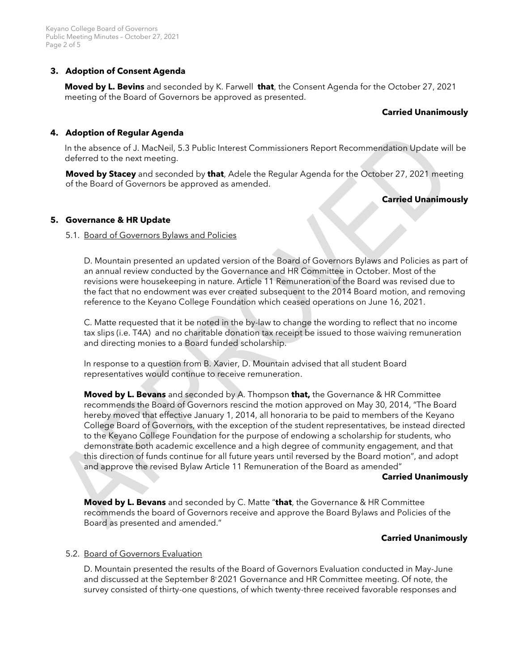# **3. Adoption of Consent Agenda**

**Moved by L. Bevins** and seconded by K. Farwell **that**, the Consent Agenda for the October 27, 2021 meeting of the Board of Governors be approved as presented.

## **Carried Unanimously**

## **4. Adoption of Regular Agenda**

In the absence of J. MacNeil, 5.3 Public Interest Commissioners Report Recommendation Update will be deferred to the next meeting.

**Moved by Stacey** and seconded by **that**, Adele the Regular Agenda for the October 27, 2021 meeting of the Board of Governors be approved as amended.

# **Carried Unanimously**

## **5. Governance & HR Update**

### 5.1. Board of Governors Bylaws and Policies

D. Mountain presented an updated version of the Board of Governors Bylaws and Policies as part of an annual review conducted by the Governance and HR Committee in October. Most of the revisions were housekeeping in nature. Article 11 Remuneration of the Board was revised due to the fact that no endowment was ever created subsequent to the 2014 Board motion, and removing reference to the Keyano College Foundation which ceased operations on June 16, 2021.

C. Matte requested that it be noted in the by-law to change the wording to reflect that no income tax slips (i.e. T4A) and no charitable donation tax receipt be issued to those waiving remuneration and directing monies to a Board funded scholarship.

In response to a question from B. Xavier, D. Mountain advised that all student Board representatives would continue to receive remuneration.

**Moved by L. Bevans** and seconded by A. Thompson **that,** the Governance & HR Committee recommends the Board of Governors rescind the motion approved on May 30, 2014, "The Board hereby moved that effective January 1, 2014, all honoraria to be paid to members of the Keyano College Board of Governors, with the exception of the student representatives, be instead directed to the Keyano College Foundation for the purpose of endowing a scholarship for students, who demonstrate both academic excellence and a high degree of community engagement, and that this direction of funds continue for all future years until reversed by the Board motion", and adopt and approve the revised Bylaw Article 11 Remuneration of the Board as amended"

### **Carried Unanimously**

**Moved by L. Bevans** and seconded by C. Matte "**that**, the Governance & HR Committee recommends the board of Governors receive and approve the Board Bylaws and Policies of the Board as presented and amended."

## **Carried Unanimously**

## 5.2. Board of Governors Evaluation

D. Mountain presented the results of the Board of Governors Evaluation conducted in May-June and discussed at the September  $8<sup>7</sup>2021$  Governance and HR Committee meeting. Of note, the survey consisted of thirty-one questions, of which twenty-three received favorable responses and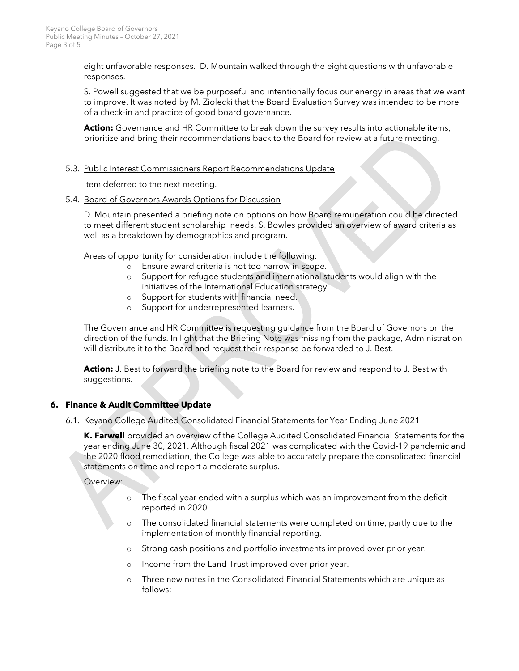eight unfavorable responses. D. Mountain walked through the eight questions with unfavorable responses.

S. Powell suggested that we be purposeful and intentionally focus our energy in areas that we want to improve. It was noted by M. Ziolecki that the Board Evaluation Survey was intended to be more of a check-in and practice of good board governance.

**Action:** Governance and HR Committee to break down the survey results into actionable items, prioritize and bring their recommendations back to the Board for review at a future meeting.

### 5.3. Public Interest Commissioners Report Recommendations Update

Item deferred to the next meeting.

### 5.4. Board of Governors Awards Options for Discussion

D. Mountain presented a briefing note on options on how Board remuneration could be directed to meet different student scholarship needs. S. Bowles provided an overview of award criteria as well as a breakdown by demographics and program.

Areas of opportunity for consideration include the following:

- o Ensure award criteria is not too narrow in scope.
- o Support for refugee students and international students would align with the initiatives of the International Education strategy.
- o Support for students with financial need.
- o Support for underrepresented learners.

The Governance and HR Committee is requesting guidance from the Board of Governors on the direction of the funds. In light that the Briefing Note was missing from the package, Administration will distribute it to the Board and request their response be forwarded to J. Best.

**Action:** J. Best to forward the briefing note to the Board for review and respond to J. Best with suggestions.

## **6. Finance & Audit Committee Update**

### 6.1. Keyano College Audited Consolidated Financial Statements for Year Ending June 2021

**K. Farwell** provided an overview of the College Audited Consolidated Financial Statements for the year ending June 30, 2021. Although fiscal 2021 was complicated with the Covid-19 pandemic and the 2020 flood remediation, the College was able to accurately prepare the consolidated financial statements on time and report a moderate surplus.

Overview:

- o The fiscal year ended with a surplus which was an improvement from the deficit reported in 2020.
- o The consolidated financial statements were completed on time, partly due to the implementation of monthly financial reporting.
- o Strong cash positions and portfolio investments improved over prior year.
- o Income from the Land Trust improved over prior year.
- o Three new notes in the Consolidated Financial Statements which are unique as follows: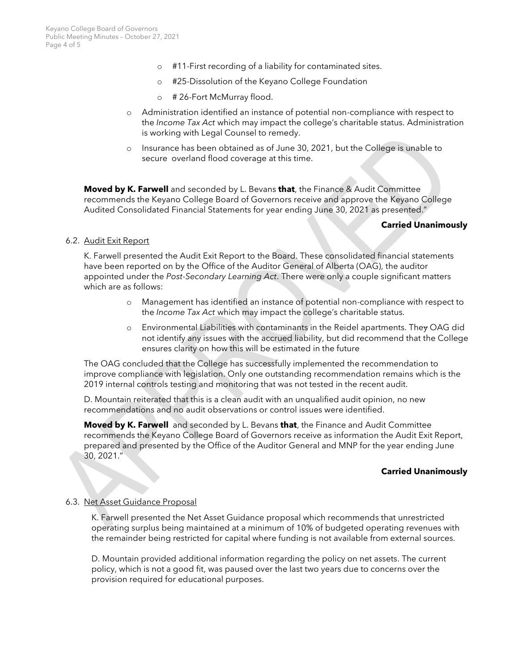- o #11-First recording of a liability for contaminated sites.
- o #25-Dissolution of the Keyano College Foundation
- o # 26-Fort McMurray flood.
- o Administration identified an instance of potential non-compliance with respect to the *Income Tax Act* which may impact the college's charitable status. Administration is working with Legal Counsel to remedy.
- o Insurance has been obtained as of June 30, 2021, but the College is unable to secure overland flood coverage at this time.

**Moved by K. Farwell** and seconded by L. Bevans **that**, the Finance & Audit Committee recommends the Keyano College Board of Governors receive and approve the Keyano College Audited Consolidated Financial Statements for year ending June 30, 2021 as presented."

#### **Carried Unanimously**

#### 6.2. Audit Exit Report

K. Farwell presented the Audit Exit Report to the Board. These consolidated financial statements have been reported on by the Office of the Auditor General of Alberta (OAG), the auditor appointed under the *Post-Secondary Learning Act*. There were only a couple significant matters which are as follows:

- o Management has identified an instance of potential non-compliance with respect to the *Income Tax Act* which may impact the college's charitable status.
- o Environmental Liabilities with contaminants in the Reidel apartments. They OAG did not identify any issues with the accrued liability, but did recommend that the College ensures clarity on how this will be estimated in the future

The OAG concluded that the College has successfully implemented the recommendation to improve compliance with legislation. Only one outstanding recommendation remains which is the 2019 internal controls testing and monitoring that was not tested in the recent audit.

D. Mountain reiterated that this is a clean audit with an unqualified audit opinion, no new recommendations and no audit observations or control issues were identified.

**Moved by K. Farwell** and seconded by L. Bevans **that**, the Finance and Audit Committee recommends the Keyano College Board of Governors receive as information the Audit Exit Report, prepared and presented by the Office of the Auditor General and MNP for the year ending June 30, 2021."

### **Carried Unanimously**

### 6.3. Net Asset Guidance Proposal

K. Farwell presented the Net Asset Guidance proposal which recommends that unrestricted operating surplus being maintained at a minimum of 10% of budgeted operating revenues with the remainder being restricted for capital where funding is not available from external sources.

D. Mountain provided additional information regarding the policy on net assets. The current policy, which is not a good fit, was paused over the last two years due to concerns over the provision required for educational purposes.